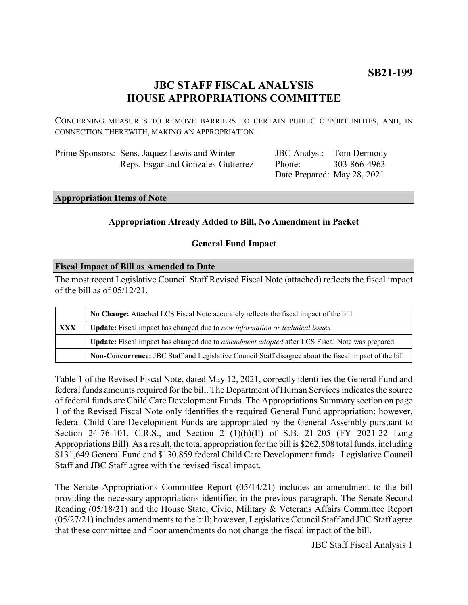# **JBC STAFF FISCAL ANALYSIS HOUSE APPROPRIATIONS COMMITTEE**

CONCERNING MEASURES TO REMOVE BARRIERS TO CERTAIN PUBLIC OPPORTUNITIES, AND, IN CONNECTION THEREWITH, MAKING AN APPROPRIATION.

| Prime Sponsors: Sens. Jaquez Lewis and Winter |
|-----------------------------------------------|
| Reps. Esgar and Gonzales-Gutierrez            |

JBC Analyst: Tom Dermody Phone: Date Prepared: May 28, 2021 303-866-4963

#### **Appropriation Items of Note**

# **Appropriation Already Added to Bill, No Amendment in Packet**

## **General Fund Impact**

## **Fiscal Impact of Bill as Amended to Date**

The most recent Legislative Council Staff Revised Fiscal Note (attached) reflects the fiscal impact of the bill as of 05/12/21.

|            | No Change: Attached LCS Fiscal Note accurately reflects the fiscal impact of the bill                 |
|------------|-------------------------------------------------------------------------------------------------------|
| <b>XXX</b> | <b>Update:</b> Fiscal impact has changed due to new information or technical issues                   |
|            | Update: Fiscal impact has changed due to <i>amendment adopted</i> after LCS Fiscal Note was prepared  |
|            | Non-Concurrence: JBC Staff and Legislative Council Staff disagree about the fiscal impact of the bill |

Table 1 of the Revised Fiscal Note, dated May 12, 2021, correctly identifies the General Fund and federal funds amounts required for the bill. The Department of Human Services indicates the source of federal funds are Child Care Development Funds. The Appropriations Summary section on page 1 of the Revised Fiscal Note only identifies the required General Fund appropriation; however, federal Child Care Development Funds are appropriated by the General Assembly pursuant to Section 24-76-101, C.R.S., and Section 2 (1)(h)(II) of S.B. 21-205 (FY 2021-22 Long Appropriations Bill). As a result, the total appropriation for the bill is \$262,508 total funds, including \$131,649 General Fund and \$130,859 federal Child Care Development funds. Legislative Council Staff and JBC Staff agree with the revised fiscal impact.

The Senate Appropriations Committee Report (05/14/21) includes an amendment to the bill providing the necessary appropriations identified in the previous paragraph. The Senate Second Reading (05/18/21) and the House State, Civic, Military & Veterans Affairs Committee Report (05/27/21) includes amendments to the bill; however, Legislative Council Staff and JBC Staff agree that these committee and floor amendments do not change the fiscal impact of the bill.

JBC Staff Fiscal Analysis 1